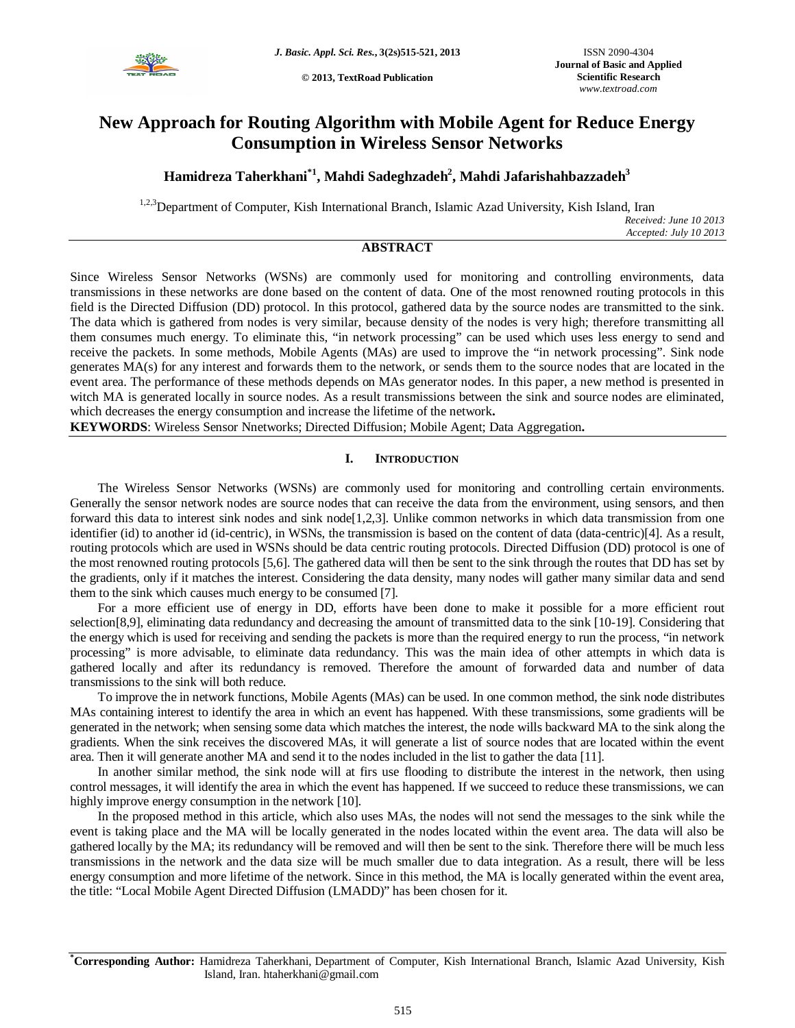

**© 2013, TextRoad Publication**

# **New Approach for Routing Algorithm with Mobile Agent for Reduce Energy Consumption in Wireless Sensor Networks**

**Hamidreza Taherkhani\*1 , Mahdi Sadeghzadeh<sup>2</sup> , Mahdi Jafarishahbazzadeh<sup>3</sup>**

<sup>1,2,3</sup>Department of Computer, Kish International Branch, Islamic Azad University, Kish Island, Iran *Received: June 10 2013 Accepted: July 10 2013*

# **ABSTRACT**

Since Wireless Sensor Networks (WSNs) are commonly used for monitoring and controlling environments, data transmissions in these networks are done based on the content of data. One of the most renowned routing protocols in this field is the Directed Diffusion (DD) protocol. In this protocol, gathered data by the source nodes are transmitted to the sink. The data which is gathered from nodes is very similar, because density of the nodes is very high; therefore transmitting all them consumes much energy. To eliminate this, "in network processing" can be used which uses less energy to send and receive the packets. In some methods, Mobile Agents (MAs) are used to improve the "in network processing". Sink node generates MA(s) for any interest and forwards them to the network, or sends them to the source nodes that are located in the event area. The performance of these methods depends on MAs generator nodes. In this paper, a new method is presented in witch MA is generated locally in source nodes. As a result transmissions between the sink and source nodes are eliminated, which decreases the energy consumption and increase the lifetime of the network**.**

**KEYWORDS**: Wireless Sensor Nnetworks; Directed Diffusion; Mobile Agent; Data Aggregation**.**

# **I. INTRODUCTION**

The Wireless Sensor Networks (WSNs) are commonly used for monitoring and controlling certain environments. Generally the sensor network nodes are source nodes that can receive the data from the environment, using sensors, and then forward this data to interest sink nodes and sink node[1,2,3]. Unlike common networks in which data transmission from one identifier (id) to another id (id-centric), in WSNs, the transmission is based on the content of data (data-centric)[4]. As a result, routing protocols which are used in WSNs should be data centric routing protocols. Directed Diffusion (DD) protocol is one of the most renowned routing protocols [5,6]. The gathered data will then be sent to the sink through the routes that DD has set by the gradients, only if it matches the interest. Considering the data density, many nodes will gather many similar data and send them to the sink which causes much energy to be consumed [7].

For a more efficient use of energy in DD, efforts have been done to make it possible for a more efficient rout selection[8,9], eliminating data redundancy and decreasing the amount of transmitted data to the sink [10-19]. Considering that the energy which is used for receiving and sending the packets is more than the required energy to run the process, "in network processing" is more advisable, to eliminate data redundancy. This was the main idea of other attempts in which data is gathered locally and after its redundancy is removed. Therefore the amount of forwarded data and number of data transmissions to the sink will both reduce.

To improve the in network functions, Mobile Agents (MAs) can be used. In one common method, the sink node distributes MAs containing interest to identify the area in which an event has happened. With these transmissions, some gradients will be generated in the network; when sensing some data which matches the interest, the node wills backward MA to the sink along the gradients. When the sink receives the discovered MAs, it will generate a list of source nodes that are located within the event area. Then it will generate another MA and send it to the nodes included in the list to gather the data [11].

In another similar method, the sink node will at firs use flooding to distribute the interest in the network, then using control messages, it will identify the area in which the event has happened. If we succeed to reduce these transmissions, we can highly improve energy consumption in the network [10].

In the proposed method in this article, which also uses MAs, the nodes will not send the messages to the sink while the event is taking place and the MA will be locally generated in the nodes located within the event area. The data will also be gathered locally by the MA; its redundancy will be removed and will then be sent to the sink. Therefore there will be much less transmissions in the network and the data size will be much smaller due to data integration. As a result, there will be less energy consumption and more lifetime of the network. Since in this method, the MA is locally generated within the event area, the title: "Local Mobile Agent Directed Diffusion (LMADD)" has been chosen for it.

**\*Corresponding Author:** Hamidreza Taherkhani, Department of Computer, Kish International Branch, Islamic Azad University, Kish Island, Iran. htaherkhani@gmail.com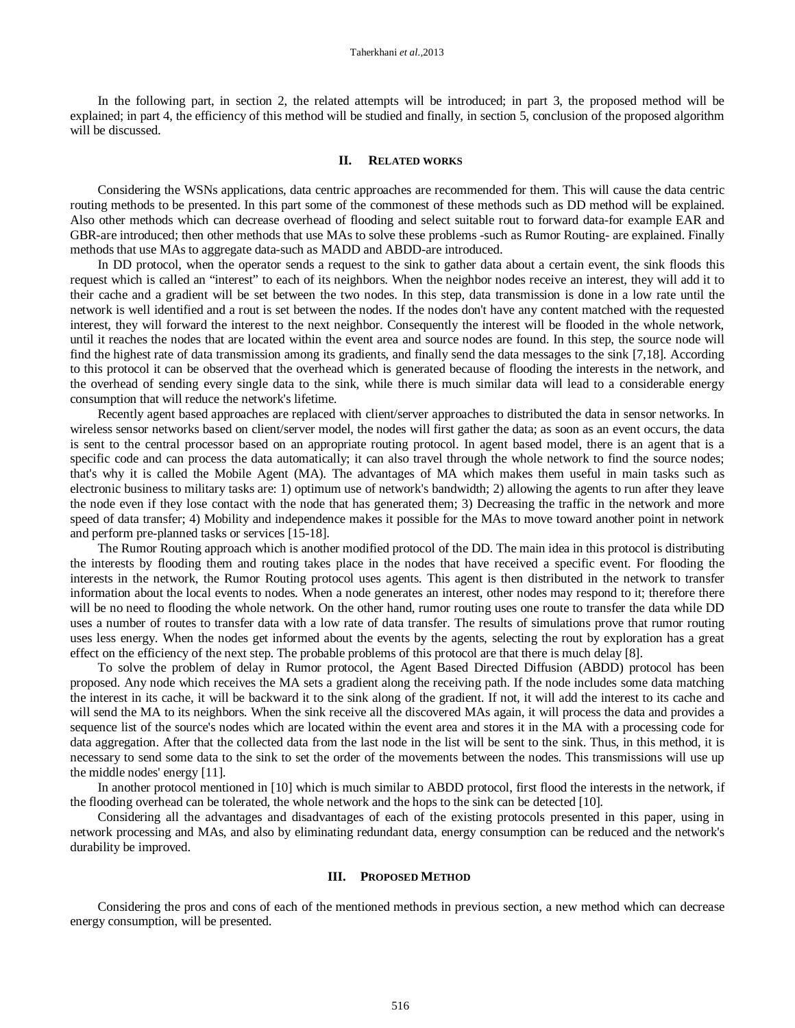In the following part, in section 2, the related attempts will be introduced; in part 3, the proposed method will be explained; in part 4, the efficiency of this method will be studied and finally, in section 5, conclusion of the proposed algorithm will be discussed.

#### **II. RELATED WORKS**

Considering the WSNs applications, data centric approaches are recommended for them. This will cause the data centric routing methods to be presented. In this part some of the commonest of these methods such as DD method will be explained. Also other methods which can decrease overhead of flooding and select suitable rout to forward data-for example EAR and GBR-are introduced; then other methods that use MAs to solve these problems -such as Rumor Routing- are explained. Finally methods that use MAs to aggregate data-such as MADD and ABDD-are introduced.

In DD protocol, when the operator sends a request to the sink to gather data about a certain event, the sink floods this request which is called an "interest" to each of its neighbors. When the neighbor nodes receive an interest, they will add it to their cache and a gradient will be set between the two nodes. In this step, data transmission is done in a low rate until the network is well identified and a rout is set between the nodes. If the nodes don't have any content matched with the requested interest, they will forward the interest to the next neighbor. Consequently the interest will be flooded in the whole network, until it reaches the nodes that are located within the event area and source nodes are found. In this step, the source node will find the highest rate of data transmission among its gradients, and finally send the data messages to the sink [7,18]. According to this protocol it can be observed that the overhead which is generated because of flooding the interests in the network, and the overhead of sending every single data to the sink, while there is much similar data will lead to a considerable energy consumption that will reduce the network's lifetime.

Recently agent based approaches are replaced with client/server approaches to distributed the data in sensor networks. In wireless sensor networks based on client/server model, the nodes will first gather the data; as soon as an event occurs, the data is sent to the central processor based on an appropriate routing protocol. In agent based model, there is an agent that is a specific code and can process the data automatically; it can also travel through the whole network to find the source nodes; that's why it is called the Mobile Agent (MA). The advantages of MA which makes them useful in main tasks such as electronic business to military tasks are: 1) optimum use of network's bandwidth; 2) allowing the agents to run after they leave the node even if they lose contact with the node that has generated them; 3) Decreasing the traffic in the network and more speed of data transfer; 4) Mobility and independence makes it possible for the MAs to move toward another point in network and perform pre-planned tasks or services [15-18].

The Rumor Routing approach which is another modified protocol of the DD. The main idea in this protocol is distributing the interests by flooding them and routing takes place in the nodes that have received a specific event. For flooding the interests in the network, the Rumor Routing protocol uses agents. This agent is then distributed in the network to transfer information about the local events to nodes. When a node generates an interest, other nodes may respond to it; therefore there will be no need to flooding the whole network. On the other hand, rumor routing uses one route to transfer the data while DD uses a number of routes to transfer data with a low rate of data transfer. The results of simulations prove that rumor routing uses less energy. When the nodes get informed about the events by the agents, selecting the rout by exploration has a great effect on the efficiency of the next step. The probable problems of this protocol are that there is much delay [8].

To solve the problem of delay in Rumor protocol, the Agent Based Directed Diffusion (ABDD) protocol has been proposed. Any node which receives the MA sets a gradient along the receiving path. If the node includes some data matching the interest in its cache, it will be backward it to the sink along of the gradient. If not, it will add the interest to its cache and will send the MA to its neighbors. When the sink receive all the discovered MAs again, it will process the data and provides a sequence list of the source's nodes which are located within the event area and stores it in the MA with a processing code for data aggregation. After that the collected data from the last node in the list will be sent to the sink. Thus, in this method, it is necessary to send some data to the sink to set the order of the movements between the nodes. This transmissions will use up the middle nodes' energy [11].

In another protocol mentioned in [10] which is much similar to ABDD protocol, first flood the interests in the network, if the flooding overhead can be tolerated, the whole network and the hops to the sink can be detected [10].

Considering all the advantages and disadvantages of each of the existing protocols presented in this paper, using in network processing and MAs, and also by eliminating redundant data, energy consumption can be reduced and the network's durability be improved.

#### **III. PROPOSED METHOD**

Considering the pros and cons of each of the mentioned methods in previous section, a new method which can decrease energy consumption, will be presented.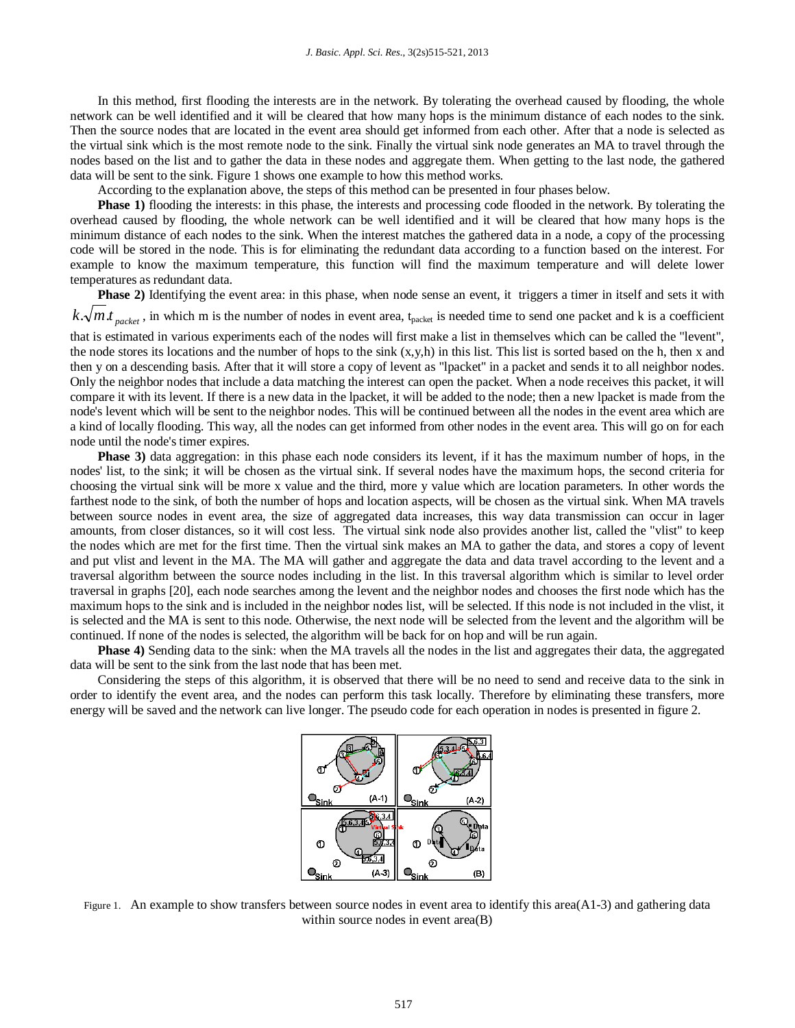In this method, first flooding the interests are in the network. By tolerating the overhead caused by flooding, the whole network can be well identified and it will be cleared that how many hops is the minimum distance of each nodes to the sink. Then the source nodes that are located in the event area should get informed from each other. After that a node is selected as the virtual sink which is the most remote node to the sink. Finally the virtual sink node generates an MA to travel through the nodes based on the list and to gather the data in these nodes and aggregate them. When getting to the last node, the gathered data will be sent to the sink. Figure 1 shows one example to how this method works.

According to the explanation above, the steps of this method can be presented in four phases below.

**Phase 1)** flooding the interests: in this phase, the interests and processing code flooded in the network. By tolerating the overhead caused by flooding, the whole network can be well identified and it will be cleared that how many hops is the minimum distance of each nodes to the sink. When the interest matches the gathered data in a node, a copy of the processing code will be stored in the node. This is for eliminating the redundant data according to a function based on the interest. For example to know the maximum temperature, this function will find the maximum temperature and will delete lower temperatures as redundant data.

**Phase 2)** Identifying the event area: in this phase, when node sense an event, it triggers a timer in itself and sets it with  $k.\sqrt{m.t_{packet}}$ , in which m is the number of nodes in event area, t<sub>packet</sub> is needed time to send one packet and k is a coefficient that is estimated in various experiments each of the nodes will first make a list in themselves which can be called the "levent", the node stores its locations and the number of hops to the sink  $(x,y,h)$  in this list. This list is sorted based on the h, then x and then y on a descending basis. After that it will store a copy of levent as "lpacket" in a packet and sends it to all neighbor nodes. Only the neighbor nodes that include a data matching the interest can open the packet. When a node receives this packet, it will compare it with its levent. If there is a new data in the lpacket, it will be added to the node; then a new lpacket is made from the node's levent which will be sent to the neighbor nodes. This will be continued between all the nodes in the event area which are a kind of locally flooding. This way, all the nodes can get informed from other nodes in the event area. This will go on for each node until the node's timer expires.

**Phase 3)** data aggregation: in this phase each node considers its levent, if it has the maximum number of hops, in the nodes' list, to the sink; it will be chosen as the virtual sink. If several nodes have the maximum hops, the second criteria for choosing the virtual sink will be more x value and the third, more y value which are location parameters. In other words the farthest node to the sink, of both the number of hops and location aspects, will be chosen as the virtual sink. When MA travels between source nodes in event area, the size of aggregated data increases, this way data transmission can occur in lager amounts, from closer distances, so it will cost less. The virtual sink node also provides another list, called the "vlist" to keep the nodes which are met for the first time. Then the virtual sink makes an MA to gather the data, and stores a copy of levent and put vlist and levent in the MA. The MA will gather and aggregate the data and data travel according to the levent and a traversal algorithm between the source nodes including in the list. In this traversal algorithm which is similar to level order traversal in graphs [20], each node searches among the levent and the neighbor nodes and chooses the first node which has the maximum hops to the sink and is included in the neighbor nodes list, will be selected. If this node is not included in the vlist, it is selected and the MA is sent to this node. Otherwise, the next node will be selected from the levent and the algorithm will be continued. If none of the nodes is selected, the algorithm will be back for on hop and will be run again.

**Phase 4)** Sending data to the sink: when the MA travels all the nodes in the list and aggregates their data, the aggregated data will be sent to the sink from the last node that has been met.

Considering the steps of this algorithm, it is observed that there will be no need to send and receive data to the sink in order to identify the event area, and the nodes can perform this task locally. Therefore by eliminating these transfers, more energy will be saved and the network can live longer. The pseudo code for each operation in nodes is presented in figure 2.



Figure 1. An example to show transfers between source nodes in event area to identify this area( $A1-3$ ) and gathering data within source nodes in event area(B)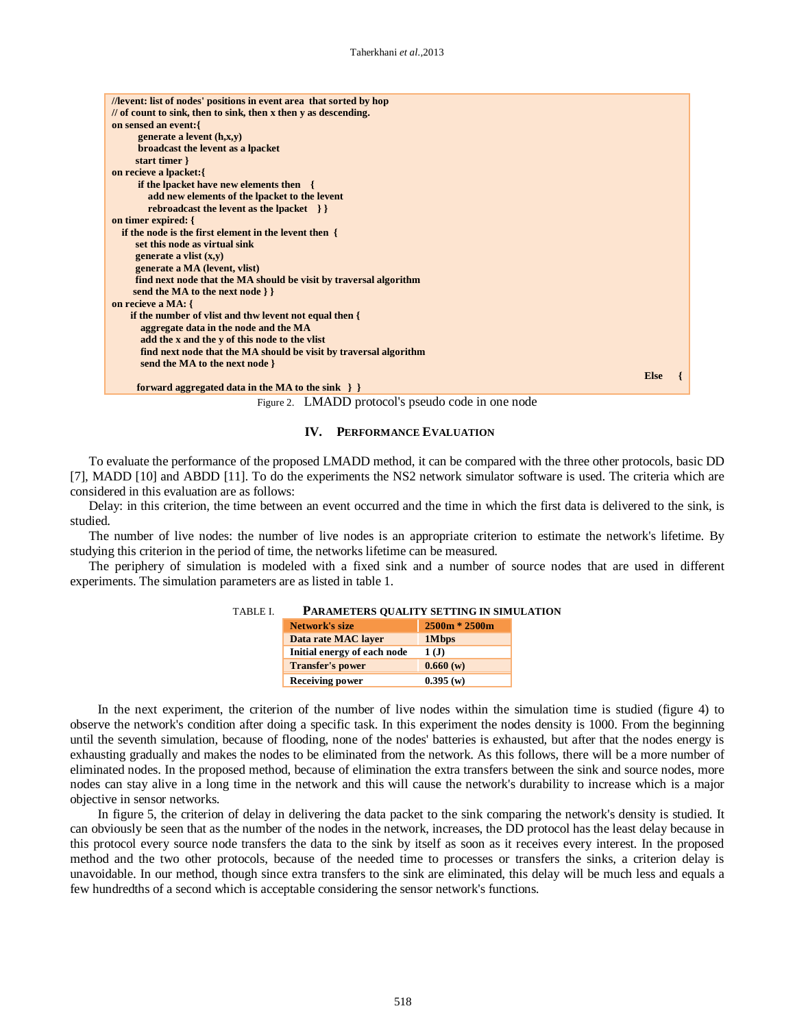| //levent: list of nodes' positions in event area that sorted by hop        |             |  |
|----------------------------------------------------------------------------|-------------|--|
| $\frac{1}{2}$ of count to sink, then to sink, then x then y as descending. |             |  |
| on sensed an event: {                                                      |             |  |
| generate a levent $(h, x, y)$                                              |             |  |
| broadcast the levent as a lpacket                                          |             |  |
| start timer }                                                              |             |  |
| on recieve a lpacket:{                                                     |             |  |
| <b>if the lpacket have new elements then</b> {                             |             |  |
| add new elements of the lpacket to the levent                              |             |  |
| rebroadcast the levent as the lpacket $\{\}$                               |             |  |
| on timer expired: {                                                        |             |  |
| if the node is the first element in the levent then {                      |             |  |
| set this node as virtual sink                                              |             |  |
| generate a vlist $(x,y)$                                                   |             |  |
| generate a MA (levent, vlist)                                              |             |  |
| find next node that the MA should be visit by traversal algorithm          |             |  |
| send the MA to the next node $\}$                                          |             |  |
| on recieve a MA: {                                                         |             |  |
| if the number of vlist and thw levent not equal then {                     |             |  |
| aggregate data in the node and the MA                                      |             |  |
| add the x and the y of this node to the vlist                              |             |  |
| find next node that the MA should be visit by traversal algorithm          |             |  |
| send the MA to the next node }                                             |             |  |
|                                                                            | <b>Else</b> |  |
| forward aggregated data in the MA to the sink $\}$                         |             |  |
|                                                                            |             |  |

Figure 2. LMADD protocol's pseudo code in one node

### **IV. PERFORMANCE EVALUATION**

To evaluate the performance of the proposed LMADD method, it can be compared with the three other protocols, basic DD [7], MADD [10] and ABDD [11]. To do the experiments the NS2 network simulator software is used. The criteria which are considered in this evaluation are as follows:

Delay: in this criterion, the time between an event occurred and the time in which the first data is delivered to the sink, is studied.

The number of live nodes: the number of live nodes is an appropriate criterion to estimate the network's lifetime. By studying this criterion in the period of time, the networks lifetime can be measured.

The periphery of simulation is modeled with a fixed sink and a number of source nodes that are used in different experiments. The simulation parameters are as listed in table 1.

| <b>PARAMETERS QUALITY SETTING IN SIMULA</b> |
|---------------------------------------------|
|                                             |
|                                             |
|                                             |
|                                             |
|                                             |
|                                             |

TABLE I. **PARAMETERS QUALITY SETTING IN SIMULATION**

In the next experiment, the criterion of the number of live nodes within the simulation time is studied (figure 4) to observe the network's condition after doing a specific task. In this experiment the nodes density is 1000. From the beginning until the seventh simulation, because of flooding, none of the nodes' batteries is exhausted, but after that the nodes energy is exhausting gradually and makes the nodes to be eliminated from the network. As this follows, there will be a more number of eliminated nodes. In the proposed method, because of elimination the extra transfers between the sink and source nodes, more nodes can stay alive in a long time in the network and this will cause the network's durability to increase which is a major objective in sensor networks.

In figure 5, the criterion of delay in delivering the data packet to the sink comparing the network's density is studied. It can obviously be seen that as the number of the nodes in the network, increases, the DD protocol has the least delay because in this protocol every source node transfers the data to the sink by itself as soon as it receives every interest. In the proposed method and the two other protocols, because of the needed time to processes or transfers the sinks, a criterion delay is unavoidable. In our method, though since extra transfers to the sink are eliminated, this delay will be much less and equals a few hundredths of a second which is acceptable considering the sensor network's functions.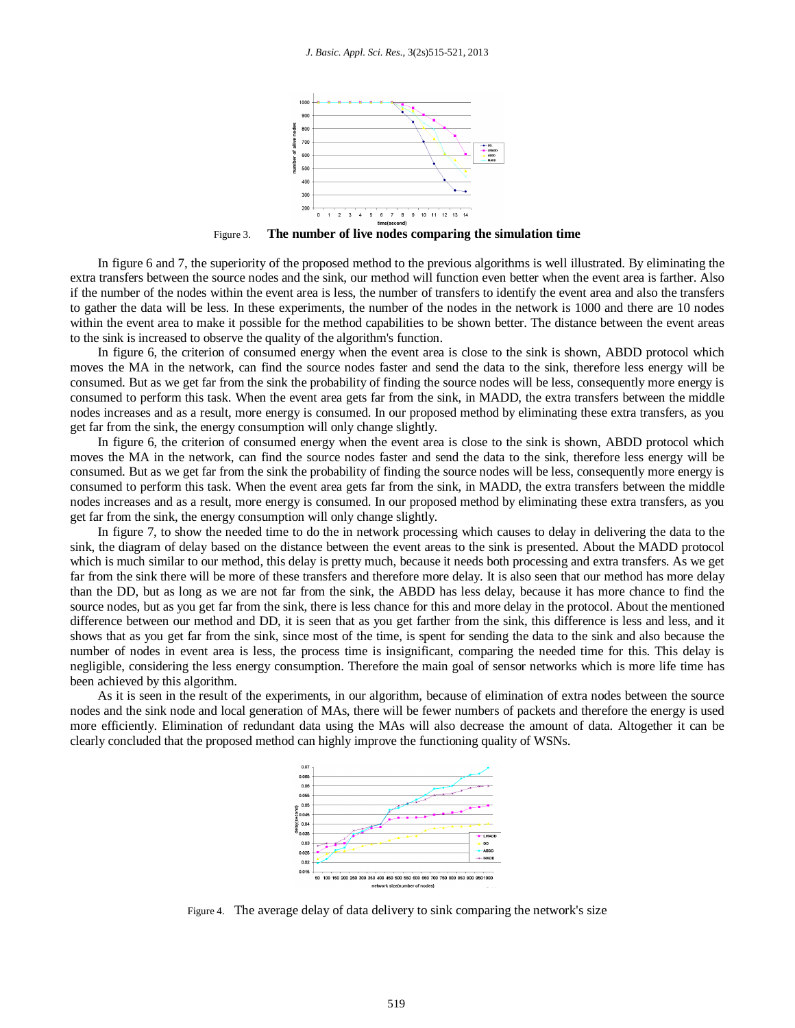

Figure 3. **The number of live nodes comparing the simulation time**

In figure 6 and 7, the superiority of the proposed method to the previous algorithms is well illustrated. By eliminating the extra transfers between the source nodes and the sink, our method will function even better when the event area is farther. Also if the number of the nodes within the event area is less, the number of transfers to identify the event area and also the transfers to gather the data will be less. In these experiments, the number of the nodes in the network is 1000 and there are 10 nodes within the event area to make it possible for the method capabilities to be shown better. The distance between the event areas to the sink is increased to observe the quality of the algorithm's function.

In figure 6, the criterion of consumed energy when the event area is close to the sink is shown, ABDD protocol which moves the MA in the network, can find the source nodes faster and send the data to the sink, therefore less energy will be consumed. But as we get far from the sink the probability of finding the source nodes will be less, consequently more energy is consumed to perform this task. When the event area gets far from the sink, in MADD, the extra transfers between the middle nodes increases and as a result, more energy is consumed. In our proposed method by eliminating these extra transfers, as you get far from the sink, the energy consumption will only change slightly.

In figure 6, the criterion of consumed energy when the event area is close to the sink is shown, ABDD protocol which moves the MA in the network, can find the source nodes faster and send the data to the sink, therefore less energy will be consumed. But as we get far from the sink the probability of finding the source nodes will be less, consequently more energy is consumed to perform this task. When the event area gets far from the sink, in MADD, the extra transfers between the middle nodes increases and as a result, more energy is consumed. In our proposed method by eliminating these extra transfers, as you get far from the sink, the energy consumption will only change slightly.

In figure 7, to show the needed time to do the in network processing which causes to delay in delivering the data to the sink, the diagram of delay based on the distance between the event areas to the sink is presented. About the MADD protocol which is much similar to our method, this delay is pretty much, because it needs both processing and extra transfers. As we get far from the sink there will be more of these transfers and therefore more delay. It is also seen that our method has more delay than the DD, but as long as we are not far from the sink, the ABDD has less delay, because it has more chance to find the source nodes, but as you get far from the sink, there is less chance for this and more delay in the protocol. About the mentioned difference between our method and DD, it is seen that as you get farther from the sink, this difference is less and less, and it shows that as you get far from the sink, since most of the time, is spent for sending the data to the sink and also because the number of nodes in event area is less, the process time is insignificant, comparing the needed time for this. This delay is negligible, considering the less energy consumption. Therefore the main goal of sensor networks which is more life time has been achieved by this algorithm.

As it is seen in the result of the experiments, in our algorithm, because of elimination of extra nodes between the source nodes and the sink node and local generation of MAs, there will be fewer numbers of packets and therefore the energy is used more efficiently. Elimination of redundant data using the MAs will also decrease the amount of data. Altogether it can be clearly concluded that the proposed method can highly improve the functioning quality of WSNs.



Figure 4. The average delay of data delivery to sink comparing the network's size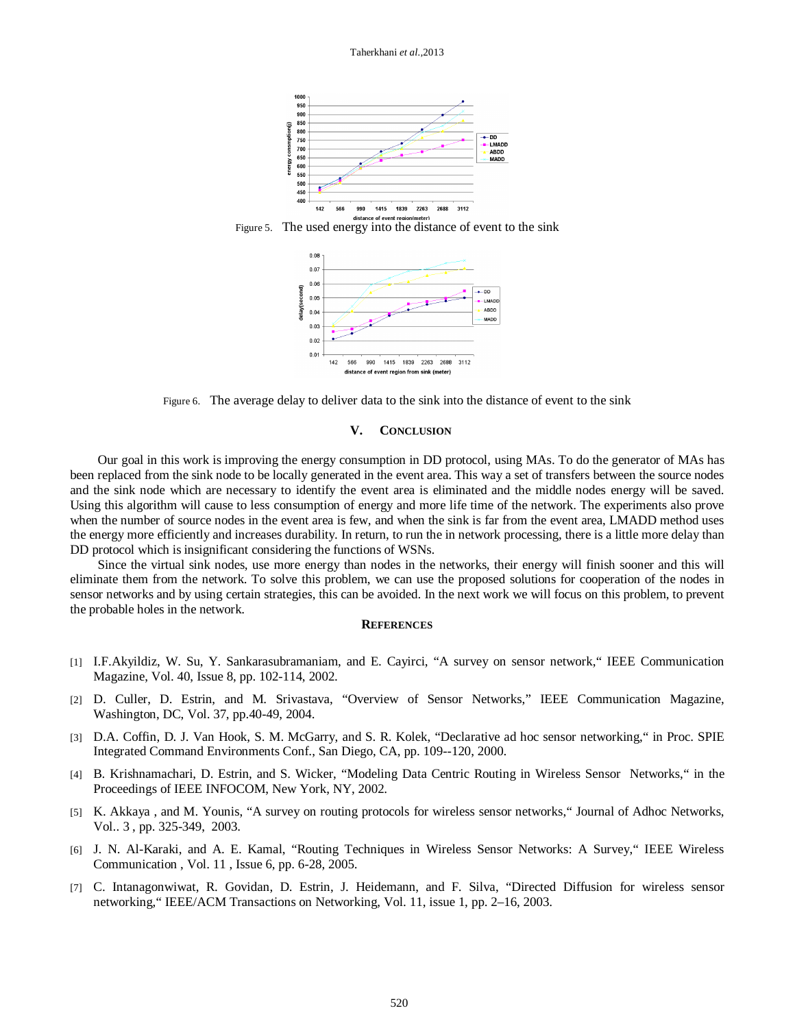





Figure 6. The average delay to deliver data to the sink into the distance of event to the sink

#### **V. CONCLUSION**

Our goal in this work is improving the energy consumption in DD protocol, using MAs. To do the generator of MAs has been replaced from the sink node to be locally generated in the event area. This way a set of transfers between the source nodes and the sink node which are necessary to identify the event area is eliminated and the middle nodes energy will be saved. Using this algorithm will cause to less consumption of energy and more life time of the network. The experiments also prove when the number of source nodes in the event area is few, and when the sink is far from the event area, LMADD method uses the energy more efficiently and increases durability. In return, to run the in network processing, there is a little more delay than DD protocol which is insignificant considering the functions of WSNs.

Since the virtual sink nodes, use more energy than nodes in the networks, their energy will finish sooner and this will eliminate them from the network. To solve this problem, we can use the proposed solutions for cooperation of the nodes in sensor networks and by using certain strategies, this can be avoided. In the next work we will focus on this problem, to prevent the probable holes in the network.

## **REFERENCES**

- [1] I.F.Akyildiz, W. Su, Y. Sankarasubramaniam, and E. Cayirci, "A survey on sensor network," IEEE Communication Magazine, Vol. 40, Issue 8, pp. 102-114, 2002.
- [2] D. Culler, D. Estrin, and M. Srivastava, "Overview of Sensor Networks," IEEE Communication Magazine, Washington, DC, Vol. 37, pp.40-49, 2004.
- [3] D.A. Coffin, D. J. Van Hook, S. M. McGarry, and S. R. Kolek, "Declarative ad hoc sensor networking," in Proc. SPIE Integrated Command Environments Conf., San Diego, CA, pp. 109--120, 2000.
- [4] B. Krishnamachari, D. Estrin, and S. Wicker, "Modeling Data Centric Routing in Wireless Sensor Networks," in the Proceedings of IEEE INFOCOM, New York, NY, 2002.
- [5] K. Akkaya , and M. Younis, "A survey on routing protocols for wireless sensor networks," Journal of Adhoc Networks, Vol.. 3 , pp. 325-349, 2003.
- [6] J. N. Al-Karaki, and A. E. Kamal, "Routing Techniques in Wireless Sensor Networks: A Survey," IEEE Wireless Communication , Vol. 11 , Issue 6, pp. 6-28, 2005.
- [7] C. Intanagonwiwat, R. Govidan, D. Estrin, J. Heidemann, and F. Silva, "Directed Diffusion for wireless sensor networking," IEEE/ACM Transactions on Networking, Vol. 11, issue 1, pp. 2–16, 2003.